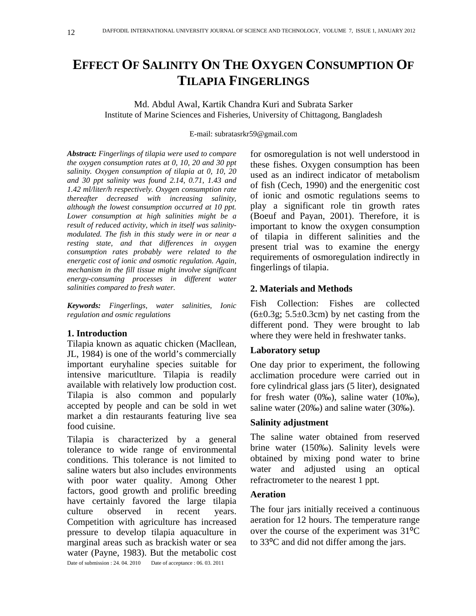# **EFFECT OF SALINITY ON THE OXYGEN CONSUMPTION OF TILAPIA FINGERLINGS**

Md. Abdul Awal, Kartik Chandra Kuri and Subrata Sarker Institute of Marine Sciences and Fisheries, University of Chittagong, Bangladesh

E-mail: subratasrkr59@gmail.com

*Abstract: Fingerlings of tilapia were used to compare the oxygen consumption rates at 0, 10, 20 and 30 ppt salinity. Oxygen consumption of tilapia at 0, 10, 20 and 30 ppt salinity was found 2.14, 0.71, 1.43 and 1.42 ml/liter/h respectively. Oxygen consumption rate thereafter decreased with increasing salinity, although the lowest consumption occurred at 10 ppt. Lower consumption at high salinities might be a result of reduced activity, which in itself was salinitymodulated. The fish in this study were in or near a resting state, and that differences in oxygen consumption rates probably were related to the energetic cost of ionic and osmotic regulation. Again, mechanism in the fill tissue might involve significant energy-consuming processes in different water salinities compared to fresh water.*

*Keywords: Fingerlings, water salinities, Ionic regulation and osmic regulations* 

# **1. Introduction**

Tilapia known as aquatic chicken (Macllean, JL, 1984) is one of the world's commercially important euryhaline species suitable for intensive maricutlture. Tilapia is readily available with relatively low production cost. Tilapia is also common and popularly accepted by people and can be sold in wet market a din restaurants featuring live sea food cuisine.

Tilapia is characterized by a general tolerance to wide range of environmental conditions. This tolerance is not limited to saline waters but also includes environments with poor water quality. Among Other factors, good growth and prolific breeding have certainly favored the large tilapia culture observed in recent years. Competition with agriculture has increased pressure to develop tilapia aquaculture in marginal areas such as brackish water or sea water (Payne, 1983). But the metabolic cost Date of submission : 24. 04. 2010 Date of acceptance : 06. 03. 2011

for osmoregulation is not well understood in these fishes. Oxygen consumption has been used as an indirect indicator of metabolism of fish (Cech, 1990) and the energenitic cost of ionic and osmotic regulations seems to play a significant role tin growth rates (Boeuf and Payan, 2001). Therefore, it is important to know the oxygen consumption of tilapia in different salinities and the present trial was to examine the energy requirements of osmoregulation indirectly in fingerlings of tilapia.

# **2. Materials and Methods**

Fish Collection: Fishes are collected  $(6\pm0.3g; 5.5\pm0.3cm)$  by net casting from the different pond. They were brought to lab where they were held in freshwater tanks.

# **Laboratory setup**

One day prior to experiment, the following acclimation procedure were carried out in fore cylindrical glass jars (5 liter), designated for fresh water (0‰), saline water (10‰), saline water (20‰) and saline water (30‰).

# **Salinity adjustment**

The saline water obtained from reserved brine water (150‰). Salinity levels were obtained by mixing pond water to brine water and adjusted using an optical refractrometer to the nearest 1 ppt.

# **Aeration**

The four jars initially received a continuous aeration for 12 hours. The temperature range over the course of the experiment was  $31^{\circ}C$ to 33°C and did not differ among the jars.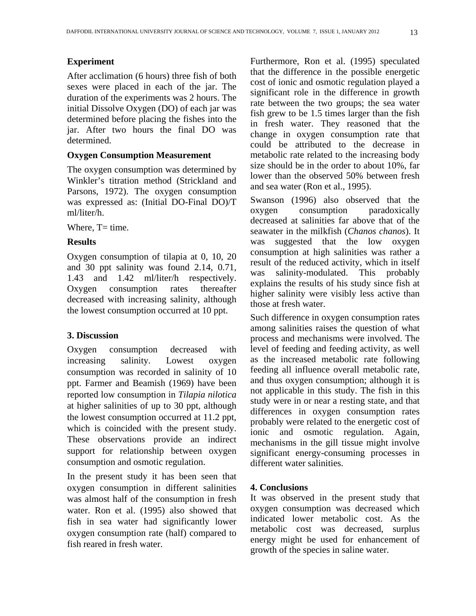#### **Experiment**

After acclimation (6 hours) three fish of both sexes were placed in each of the jar. The duration of the experiments was 2 hours. The initial Dissolve Oxygen (DO) of each jar was determined before placing the fishes into the jar. After two hours the final DO was determined.

#### **Oxygen Consumption Measurement**

The oxygen consumption was determined by Winkler's titration method (Strickland and Parsons, 1972). The oxygen consumption was expressed as: (Initial DO-Final DO)/T ml/liter/h.

Where,  $T=$  time.

# **Results**

Oxygen consumption of tilapia at 0, 10, 20 and 30 ppt salinity was found 2.14, 0.71, 1.43 and 1.42 ml/liter/h respectively. Oxygen consumption rates thereafter decreased with increasing salinity, although the lowest consumption occurred at 10 ppt.

# **3. Discussion**

Oxygen consumption decreased with increasing salinity. Lowest oxygen consumption was recorded in salinity of 10 ppt. Farmer and Beamish (1969) have been reported low consumption in *Tilapia nilotica* at higher salinities of up to 30 ppt, although the lowest consumption occurred at 11.2 ppt, which is coincided with the present study. These observations provide an indirect support for relationship between oxygen consumption and osmotic regulation.

In the present study it has been seen that oxygen consumption in different salinities was almost half of the consumption in fresh water. Ron et al. (1995) also showed that fish in sea water had significantly lower oxygen consumption rate (half) compared to fish reared in fresh water.

Furthermore, Ron et al. (1995) speculated that the difference in the possible energetic cost of ionic and osmotic regulation played a significant role in the difference in growth rate between the two groups; the sea water fish grew to be 1.5 times larger than the fish in fresh water. They reasoned that the change in oxygen consumption rate that could be attributed to the decrease in metabolic rate related to the increasing body size should be in the order to about 10%, far lower than the observed 50% between fresh and sea water (Ron et al., 1995).

Swanson (1996) also observed that the oxygen consumption paradoxically decreased at salinities far above that of the seawater in the milkfish (*Chanos chanos*). It was suggested that the low oxygen consumption at high salinities was rather a result of the reduced activity, which in itself was salinity-modulated. This probably explains the results of his study since fish at higher salinity were visibly less active than those at fresh water.

Such difference in oxygen consumption rates among salinities raises the question of what process and mechanisms were involved. The level of feeding and feeding activity, as well as the increased metabolic rate following feeding all influence overall metabolic rate, and thus oxygen consumption; although it is not applicable in this study. The fish in this study were in or near a resting state, and that differences in oxygen consumption rates probably were related to the energetic cost of ionic and osmotic regulation. Again, mechanisms in the gill tissue might involve significant energy-consuming processes in different water salinities.

# **4. Conclusions**

It was observed in the present study that oxygen consumption was decreased which indicated lower metabolic cost. As the metabolic cost was decreased, surplus energy might be used for enhancement of growth of the species in saline water.